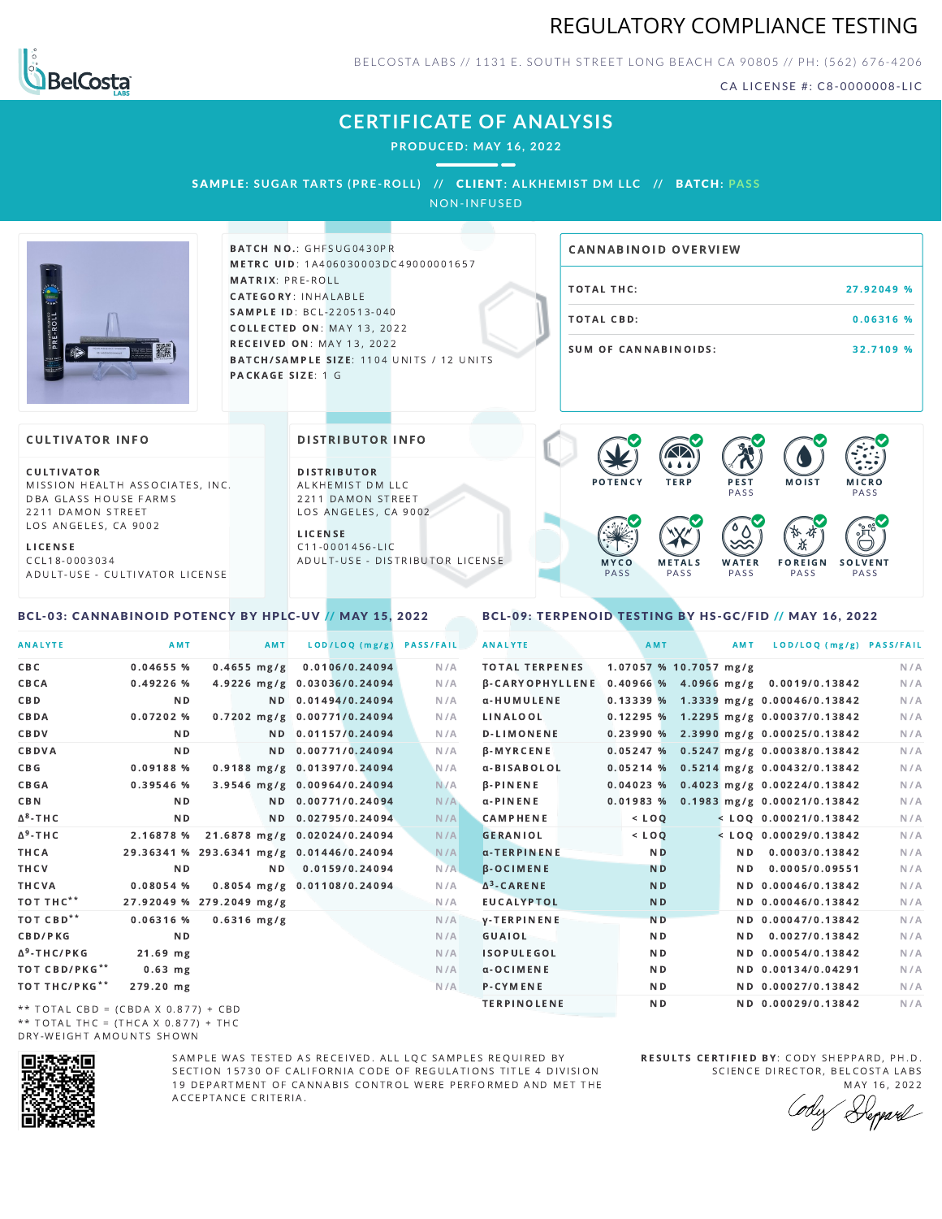



BELCOSTA LABS // 1131 E. SOUTH STREET LONG BEACH C A 90805 // PH: (562) 676-4206

CA LICENSE #: C8-0000008-LIC

# **CERTIFICATE OF ANALYSIS**

**PRODUCED: MAY 16, 2022**

## SAMPLE: SUGAR TARTS (PRE-ROLL) // CLIENT: ALKHEMIST DM LLC // BATCH: PASS

NON-INFUSED



BATCH NO.: GHFSUG0430PR METRC UID: 1A406030003DC49000001657 MATRIX: PRE-ROLL CATEGORY: INHALABLE SAMPLE ID: BCL-220513-040 COLLECTED ON: MAY 13, 2022 **RECEIVED ON: MAY 13, 2022** BATCH/SAMPLE SIZE: 1104 UNITS / 12 UNITS PACKAGE SIZE: 1 G

# TOTAL THC: 27.92049 % TOTAL CBD: 0.06316 % SUM OF CANNABINOIDS: 32.7109 % CANNABINOID OVERVIEW

## **CULTIVATOR INFO**

CULTIVATOR MISSION HEALTH ASSOCIATES, INC. DBA GLASS HOUSE FARMS 2211 DAMON STREET LOS ANGELES, CA 9002

L I C E N S E C C L 1 8 - 0 0 0 3 0 3 4 A D U L T - U S E - C U L T I V A T O R L I CENSE

#### <span id="page-0-0"></span>BCL-03: CANNABINOID POTENCY BY HPLC-UV // MAY 15, 2022

DISTRIBUTOR INFO

D I STRIBUTOR ALKHEMIST DM LLC 2211 DAMON STREET LOS ANGELES, CA 9002 L I C E N S E

 $C$  11-0001456-LIC A D U L T - U S E - D I STRI B U T O R LICENSE



### <span id="page-0-1"></span>BCL-09: TERPENOID TESTING BY HS-GC/FID // MAY 16, 2022

| <b>ANALYTE</b>                                                                                           | AMT                                      |               | AMT | LOD/LOQ (mg/g)               | <b>PASS/FAIL</b> | <b>ANALYTE</b>        | AMT                    | AMT | LOD/LOQ (mg/g) PASS/FAIL                             |     |
|----------------------------------------------------------------------------------------------------------|------------------------------------------|---------------|-----|------------------------------|------------------|-----------------------|------------------------|-----|------------------------------------------------------|-----|
| C B C                                                                                                    | $0.04655$ %                              | $0.4655$ mg/g |     | 0.0106/0.24094               | N/A              | <b>TOTAL TERPENES</b> | 1.07057 % 10.7057 mg/g |     |                                                      | N/A |
| CBCA                                                                                                     | 0.49226%                                 |               |     | 4.9226 mg/g 0.03036/0.24094  | N/A              |                       |                        |     | β-CARYOPHYLLENE 0.40966 % 4.0966 mg/g 0.0019/0.13842 | N/A |
| C B D                                                                                                    | N <sub>D</sub>                           |               |     | ND 0.01494/0.24094           | N/A              | α-HUMULENE            |                        |     | 0.13339 % 1.3339 mg/g 0.00046/0.13842                | N/A |
| CBDA                                                                                                     | $0.07202$ %                              |               |     | 0.7202 mg/g 0.00771/0.24094  | N/A              | LINALOOL              |                        |     | 0.12295 % 1.2295 mg/g 0.00037/0.13842                | N/A |
| CBDV                                                                                                     | ND.                                      |               |     | ND 0.01157/0.24094           | N/A              | <b>D-LIMONENE</b>     |                        |     | $0.23990 %$ 2.3990 mg/g 0.00025/0.13842              | N/A |
| CBDVA                                                                                                    | N <sub>D</sub>                           |               |     | ND 0.00771/0.24094           | N/A              | <b>B-MYRCENE</b>      |                        |     | $0.05247$ % 0.5247 mg/g 0.00038/0.13842              | N/A |
| C B G                                                                                                    | 0.09188 %                                |               |     | 0.9188 mg/g 0.01397/0.24094  | N/A              | α-BISABOLOL           |                        |     | $0.05214$ % 0.5214 mg/g 0.00432/0.13842              | N/A |
| CBGA                                                                                                     | $0.39546$ %                              |               |     | 3.9546 mg/g 0.00964/0.24094  | N/A              | $\beta$ -PINENE       |                        |     | $0.04023$ % 0.4023 mg/g 0.00224/0.13842              | N/A |
| C B N                                                                                                    | ND.                                      |               |     | ND 0.00771/0.24094           | N/A              | $\alpha$ -PINENE      |                        |     | $0.01983$ % 0.1983 mg/g 0.00021/0.13842              | N/A |
| ∆ <sup>8</sup> -THC                                                                                      | N <sub>D</sub>                           |               |     | ND 0.02795/0.24094           | N/A              | <b>CAMPHENE</b>       | $<$ $LOO$              |     | $<$ LOQ 0.00021/0.13842                              | N/A |
| Δ <sup>9</sup> -ΤΗ C                                                                                     | 2.16878 %                                |               |     | 21.6878 mg/g 0.02024/0.24094 | N/A              | <b>GERANIOL</b>       | $<$ LOQ                |     | $<$ LOO 0.00029/0.13842                              | N/A |
| ТНСА                                                                                                     | 29.36341 % 293.6341 mg/g 0.01446/0.24094 |               |     |                              | N/A              | α-TERPINENE           | N <sub>D</sub>         | ND. | 0.0003/0.13842                                       | N/A |
| THCV                                                                                                     | ND.                                      |               | ND. | 0.0159/0.24094               | N/A              | $\beta$ -OCIMENE      | <b>ND</b>              | N D | 0.0005/0.09551                                       | N/A |
| THCVA                                                                                                    | 0.08054%                                 |               |     | 0.8054 mg/g 0.01108/0.24094  | N/A              | $\Delta^3$ -CARENE    | N <sub>D</sub>         |     | ND 0.00046/0.13842                                   | N/A |
| тот тнс**                                                                                                | 27.92049 % 279.2049 mg/g                 |               |     |                              | N/A              | <b>EUCALYPTOL</b>     | <b>ND</b>              |     | ND 0.00046/0.13842                                   | N/A |
| тот свр**                                                                                                | $0.06316$ %                              | $0.6316$ mg/g |     |                              | N/A              | <b>V-TERPINENE</b>    | N <sub>D</sub>         |     | ND 0.00047/0.13842                                   | N/A |
| <b>CBD/PKG</b>                                                                                           | N <sub>D</sub>                           |               |     |                              | N/A              | GUAIOL                | N <sub>D</sub>         | ND. | 0.0027/0.13842                                       | N/A |
| Δ <sup>9</sup> -THC/PKG                                                                                  | $21.69$ mg                               |               |     |                              | N/A              | <b>ISOPULEGOL</b>     | N <sub>D</sub>         |     | ND 0.00054/0.13842                                   | N/A |
| ТОТ СВD/РКG**                                                                                            | $0.63$ mg                                |               |     |                              | N/A              | $\alpha$ -OCIMENE     | N <sub>D</sub>         |     | ND 0.00134/0.04291                                   | N/A |
| ТОТ ТНС/РКG**                                                                                            | 279.20 mg                                |               |     |                              | N/A              | P-CYMENE              | ND.                    |     | ND 0.00027/0.13842                                   | N/A |
| $\mathbf{r}$ , we will deal the second three seconds and the second second three seconds of $\mathbf{r}$ |                                          |               |     |                              |                  | <b>TERPINOLENE</b>    | N <sub>D</sub>         |     | ND 0.00029/0.13842                                   | N/A |

\*\* TOTAL CBD =  $(CBDA X 0.877) + CBD$ \*\* TOTAL THC = (THCA X  $0.877$ ) + THC DRY-WEIGHT AMOUNTS SHOWN



SAMPLE WAS TESTED AS RECEIVED. ALL LOC SAMPLES REQUIRED BY SECTION 15730 OF CALIFORNIA CODE OF REGULATIONS TITLE 4 DIVISION 19 DEPARTMENT OF CANNABIS CONTROL WERE PERFORMED AND MET THE A C C E P T A N C E C R I T E R I A.

RESULTS CERTIFIED BY: CODY SHEPPARD, PH.D. SCIENCE DIRECTOR, BELCOSTA LABS

MAY 16, 2022 Keppard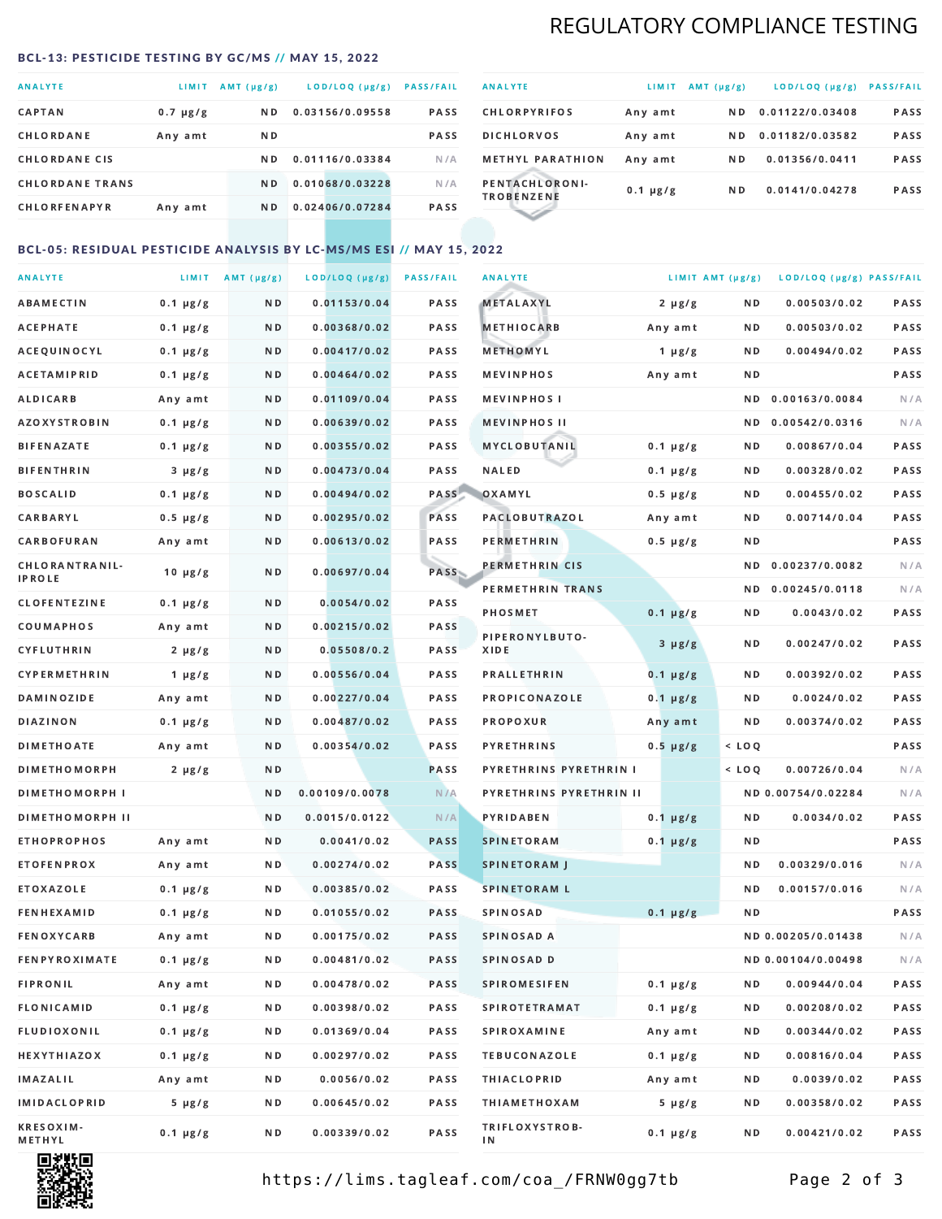# REGULATORY COMPLIANCE TESTING

#### <span id="page-1-0"></span>BCL-13: PESTICIDE TESTING BY GC/MS // MAY 15, 2022

| <b>ANALYTE</b>         | LIMIT         | AMT (µg/g)     | LOD/LOQ (µg/g)  | <b>PASS/FAIL</b> |
|------------------------|---------------|----------------|-----------------|------------------|
| <b>CAPTAN</b>          | $0.7 \mu g/g$ | N <sub>D</sub> | 0.03156/0.09558 | <b>PASS</b>      |
| CHLORDANE              | Any amt       | N D            |                 | <b>PASS</b>      |
| <b>CHLORDANE CIS</b>   |               | ND.            | 0.01116/0.03384 | N/A              |
| <b>CHLORDANE TRANS</b> |               | N <sub>D</sub> | 0.01068/0.03228 | N/A              |
| <b>CHLORFENAPYR</b>    | Any amt       | N D            | 0.02406/0.07284 | <b>PASS</b>      |

| <b>ANALYTE</b>                      | LIMIT         | $AMT(\mu g/g)$ | LOD/LOQ (µg/g)  | <b>PASS/FAIL</b> |
|-------------------------------------|---------------|----------------|-----------------|------------------|
| <b>CHLORPYRIFOS</b>                 | Any amt       | N D            | 0.01122/0.03408 | <b>PASS</b>      |
| <b>DICHLORVOS</b>                   | Any amt       | N D            | 0.01182/0.03582 | PASS             |
| <b>METHYL PARATHION</b>             | Any amt       | N D            | 0.01356/0.0411  | <b>PASS</b>      |
| PENTACHLORONI-<br><b>TROBENZENE</b> | $0.1 \mu g/g$ | ND.            | 0.0141/0.04278  | <b>PASS</b>      |
|                                     |               |                |                 |                  |

# BCL-05: RESIDUAL PESTICIDE ANALYSIS BY LC-MS/MS ESI // MAY 15, 2022

| <b>ANALYTE</b>             |               | LIMIT AMT $(\mu g/g)$ | LOD/LOQ (µg/g) | <b>PASS/FAIL</b> | <b>ANALYTE</b>          |               | LIMIT AMT (µg/g) | LOD/LOQ (µg/g) PASS/FAIL |      |
|----------------------------|---------------|-----------------------|----------------|------------------|-------------------------|---------------|------------------|--------------------------|------|
| ABAMECTIN                  | $0.1 \mu g/g$ | N D                   | 0.01153/0.04   | PASS             | <b>METALAXYL</b>        | $2 \mu g/g$   | N D              | 0.00503/0.02             | PASS |
| <b>ACEPHATE</b>            | $0.1 \mu g/g$ | N D                   | 0.00368/0.02   | PASS             | <b>METHIOCARB</b>       | Any amt       | N D              | 0.00503/0.02             | PASS |
| ACEQUINOCYL                | $0.1 \mu g/g$ | N D                   | 0.00417/0.02   | PASS             | METHOMYL                | $1 \mu g/g$   | N D              | 0.00494/0.02             | PASS |
| ACETAMIPRID                | $0.1 \mu g/g$ | N D                   | 0.00464/0.02   | PASS             | <b>MEVINPHOS</b>        | Any amt       | N D              |                          | PASS |
| <b>ALDICARB</b>            | Any amt       | N D                   | 0.01109/0.04   | <b>PASS</b>      | <b>MEVINPHOSI</b>       |               | N D              | 0.00163/0.0084           | N/A  |
| AZOXYSTROBIN               | $0.1 \mu g/g$ | N D                   | 0.00639/0.02   | PASS             | <b>MEVINPHOS II</b>     |               | N D              | 0.00542/0.0316           | N/A  |
| <b>BIFENAZATE</b>          | $0.1 \mu g/g$ | N D                   | 0.00355/0.02   | PASS             | <b>MYCLOBUTANIL</b>     | $0.1 \mu g/g$ | N D              | 0.00867/0.04             | PASS |
| <b>BIFENTHRIN</b>          | $3 \mu g/g$   | N D                   | 0.00473/0.04   | PASS             | <b>NALED</b>            | $0.1 \mu g/g$ | N D              | 0.00328/0.02             | PASS |
| <b>BOSCALID</b>            | $0.1 \mu g/g$ | N D                   | 0.00494/0.02   | PASS             | OXAMYL                  | $0.5 \mu g/g$ | N D              | 0.00455/0.02             | PASS |
| CARBARYL                   | $0.5 \mu g/g$ | N D                   | 0.00295/0.02   | PASS             | PACLOBUTRAZOL           | Any amt       | N D              | 0.00714/0.04             | PASS |
| CARBOFURAN                 | Any amt       | N D                   | 0.00613/0.02   | PASS             | PERMETHRIN              | $0.5 \mu g/g$ | N D              |                          | PASS |
| CHLORANTRANIL-             | $10 \mu g/g$  | N D                   | 0.00697/0.04   | PASS             | PERMETHRIN CIS          |               | N D              | 0.00237/0.0082           | N/A  |
| IPROLE                     |               |                       |                |                  | PERMETHRIN TRANS        |               |                  | ND 0.00245/0.0118        | N/A  |
| <b>CLOFENTEZINE</b>        | $0.1 \mu g/g$ | ND.                   | 0.0054/0.02    | PASS             | <b>PHOSMET</b>          | $0.1 \mu g/g$ | N D              | 0.0043/0.02              | PASS |
| COUMAPHOS                  | Any amt       | N D                   | 0.00215/0.02   | <b>PASS</b>      | PIPERONYLBUTO-          | $3 \mu g/g$   | N D              | 0.00247/0.02             | PASS |
| CYFLUTHRIN                 | $2 \mu g/g$   | ND.                   | 0.05508/0.2    | PASS             | XIDE                    |               |                  |                          |      |
| <b>CYPERMETHRIN</b>        | $1 \mu g/g$   | N D                   | 0.00556/0.04   | PASS             | <b>PRALLETHRIN</b>      | $0.1 \mu g/g$ | N D              | 0.00392/0.02             | PASS |
| <b>DAMINOZIDE</b>          | Any amt       | N D                   | 0.00227/0.04   | PASS             | PROPICONAZOLE           | $0.1 \mu g/g$ | N D              | 0.0024/0.02              | PASS |
| <b>DIAZINON</b>            | $0.1 \mu g/g$ | N D                   | 0.00487/0.02   | <b>PASS</b>      | PROPOXUR                | Any amt       | N D              | 0.00374/0.02             | PASS |
| <b>DIMETHOATE</b>          | Any amt       | N D                   | 0.00354/0.02   | PASS             | <b>PYRETHRINS</b>       | $0.5 \mu g/g$ | $<$ LOQ          |                          | PASS |
| <b>DIMETHOMORPH</b>        | $2 \mu g/g$   | N D                   |                | PASS             | PYRETHRINS PYRETHRIN I  |               | $<$ LOQ          | 0.00726/0.04             | N/A  |
| <b>DIMETHOMORPH I</b>      |               | N D                   | 0.00109/0.0078 | N/A              | PYRETHRINS PYRETHRIN II |               |                  | ND 0.00754/0.02284       | N/A  |
| <b>DIMETHOMORPH II</b>     |               | N D                   | 0.0015/0.0122  | N/A              | <b>PYRIDABEN</b>        | $0.1 \mu g/g$ | N D              | 0.0034/0.02              | PASS |
| <b>ETHOPROPHOS</b>         | Any amt       | N D                   | 0.0041/0.02    | <b>PASS</b>      | <b>SPINETORAM</b>       | $0.1 \mu g/g$ | N D              |                          | PASS |
| <b>ETOFENPROX</b>          | Any amt       | N D                   | 0.00274/0.02   | <b>PASS</b>      | <b>SPINETORAM J</b>     |               | N D              | 0.00329/0.016            | N/A  |
| ETOXAZOLE                  | $0.1 \mu g/g$ | N D                   | 0.00385/0.02   | <b>PASS</b>      | <b>SPINETORAM L</b>     |               | ND               | 0.00157/0.016            | N/A  |
| <b>FENHEXAMID</b>          | $0.1 \mu g/g$ | N D                   | 0.01055/0.02   | <b>PASS</b>      | SPINOSAD                | $0.1 \mu g/g$ | N D              |                          | PASS |
| <b>FENOXYCARB</b>          | Any amt       | N D                   | 0.00175/0.02   | PASS             | SPINOSAD A              |               |                  | ND 0.00205/0.01438       | N/A  |
| <b>FENPYROXIMATE</b>       | $0.1 \mu g/g$ | N D                   | 0.00481/0.02   | PASS             | SPINOSAD D              |               |                  | ND 0.00104/0.00498       | N/A  |
| <b>FIPRONIL</b>            | Any amt       | N D                   | 0.00478/0.02   | PASS             | <b>SPIROMESIFEN</b>     | $0.1 \mu g/g$ | N D              | 0.00944/0.04             | PASS |
| <b>FLONICAMID</b>          | $0.1 \mu g/g$ | N D                   | 0.00398/0.02   | PASS             | <b>SPIROTETRAMAT</b>    | $0.1 \mu g/g$ | N D              | 0.00208/0.02             | PASS |
| FLUDIOXONIL                | $0.1 \mu g/g$ | N D                   | 0.01369/0.04   | PASS             | <b>SPIROXAMINE</b>      | Any amt       | N D              | 0.00344/0.02             | PASS |
| HEXYTHIAZOX                | $0.1 \mu g/g$ | N D                   | 0.00297/0.02   | PASS             | <b>TEBUCONAZOLE</b>     | $0.1 \mu g/g$ | N D              | 0.00816/0.04             | PASS |
| IMAZALIL                   | Any amt       | N D                   | 0.0056/0.02    | PASS             | <b>THIACLOPRID</b>      | Any amt       | N D              | 0.0039/0.02              | PASS |
| IMIDACLOPRID               | $5 \mu g/g$   | N D                   | 0.00645/0.02   | PASS             | <b>THIAMETHOXAM</b>     | $5 \mu g/g$   | N D              | 0.00358/0.02             | PASS |
| <b>KRESOXIM-</b><br>METHYL | $0.1 \mu g/g$ | N D                   | 0.00339/0.02   | PASS             | TRIFLOXYSTROB-<br>ΙN    | $0.1 \mu g/g$ | N D              | 0.00421/0.02             | PASS |